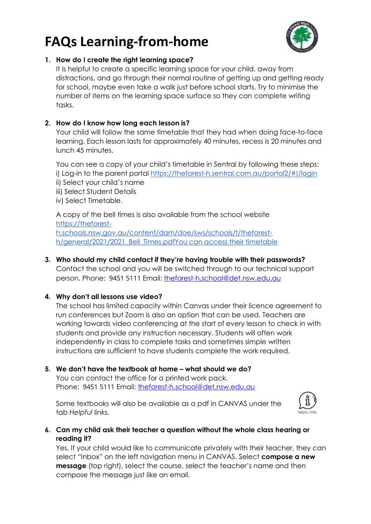# **FAQs Learning-from-home**



## **1. How do I create the right learning space?**

It is helpful to create a specific learning space for your child, away from distractions, and go through their normal routine of getting up and getting ready for school, maybe even take a walk just before school starts. Try to minimise the number of items on the learning space surface so they can complete writing tasks.

## **2. How do I know how long each lesson is?**

Your child will follow the same timetable that they had when doing face-to-face learning. Each lesson lasts for approximately 40 minutes, recess is 20 minutes and lunch 45 minutes.

You can see a copy of your child's timetable in Sentral by following these steps: i) Log-in to the parent portal https://theforest-h.sentral.com.au/portal2/#!/login ii) Select your child's name iii) Select Student Details

iv) Select Timetable.

A copy of the bell times is also available from the school website https://theforesth.schools.nsw.gov.au/content/dam/doe/sws/schools/t/theforesth/general/2021/2021\_Bell\_Times.pdfYou can access their timetable

## **3. Who should my child contact if they're having trouble with their passwords?**

Contact the school and you will be switched through to our technical support person. Phone: 9451 5111 Email: [theforest-h.school@det.nsw.edu.au](mailto:theforest-h.school@det.nsw.edu.au)

## **4. Why don't all lessons use video?**

The school has limited capacity within Canvas under their licence agreement to run conferences but Zoom is also an option that can be used. Teachers are working towards video conferencing at the start of every lesson to check in with students and provide any instruction necessary. Students will often work independently in class to complete tasks and sometimes simple written instructions are sufficient to have students complete the work required.

**5. We don't have the textbook at home – what should we do?** You can contact the office for a printed work pack. Phone: 9451 5111 Email: [theforest-h.school@det.nsw.edu.au](mailto:theforest-h.school@det.nsw.edu.au)

Some textbooks will also be available as a pdf in CANVAS under the tab *Helpful links.*



## **6. Can my child ask their teacher a question without the whole class hearing or reading it?**

Yes. If your child would like to communicate privately with their teacher, they can select "Inbox" on the left navigation menu in CANVAS. Select **compose a new message** (top right), select the course, select the teacher's name and then compose the message just like an email.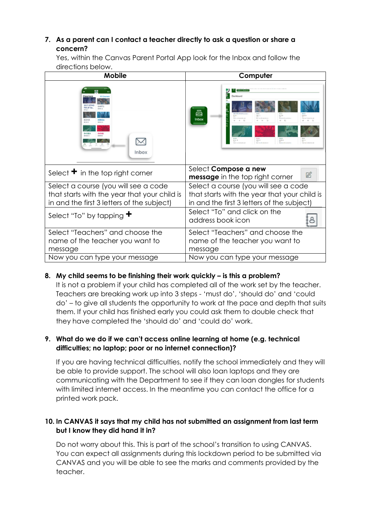## **7. As a parent can I contact a teacher directly to ask a question or share a concern?**

Yes, within the Canvas Parent Portal App look for the Inbox and follow the directions below.

| <b>Mobile</b>                                                                                                                      | Computer                                                                                                                                                                                                                                                               |
|------------------------------------------------------------------------------------------------------------------------------------|------------------------------------------------------------------------------------------------------------------------------------------------------------------------------------------------------------------------------------------------------------------------|
| <b>RADT:</b><br><b>BCHI A</b><br><b>MERICE A</b><br>8MMB<br>Inbox                                                                  | Dashboard<br>d≡b<br>8288<br><b>Chancer Orchard Sales</b><br><b>Number Owner funder</b><br><b>Barrier Tres Arts view</b><br>was a Fannish Law<br><b>Inbox</b><br>$\frac{\partial \mathcal{H}^{(k)}}{\partial \mathcal{H}^{(k)}} \equiv$<br><b>BINA</b><br><b>NATION</b> |
| Select $\bullet$ in the top right corner                                                                                           | Select Compose a new<br>$\mathbb{Z}$<br>message in the top right corner                                                                                                                                                                                                |
| Select a course (you will see a code<br>that starts with the year that your child is<br>in and the first 3 letters of the subject) | Select a course (you will see a code<br>that starts with the year that your child is<br>in and the first 3 letters of the subject)                                                                                                                                     |
| Select "To" by tapping $\blacktriangledown$                                                                                        | Select "To" and click on the<br>address book icon                                                                                                                                                                                                                      |
| Select "Teachers" and choose the<br>name of the teacher you want to<br>message                                                     | Select "Teachers" and choose the<br>name of the teacher you want to<br>message                                                                                                                                                                                         |
| Now you can type your message                                                                                                      | Now you can type your message                                                                                                                                                                                                                                          |

### **8. My child seems to be finishing their work quickly – is this a problem?**

It is not a problem if your child has completed all of the work set by the teacher. Teachers are breaking work up into 3 steps - 'must do', 'should do' and 'could do' – to give all students the opportunity to work at the pace and depth that suits them. If your child has finished early you could ask them to double check that they have completed the 'should do' and 'could do' work.

### **9. What do we do if we can't access online learning at home (e.g. technical difficulties; no laptop; poor or no internet connection)?**

If you are having technical difficulties, notify the school immediately and they will be able to provide support. The school will also loan laptops and they are communicating with the Department to see if they can loan dongles for students with limited internet access. In the meantime you can contact the office for a printed work pack.

## **10. In CANVAS it says that my child has not submitted an assignment from last term but I know they did hand it in?**

Do not worry about this. This is part of the school's transition to using CANVAS. You can expect all assignments during this lockdown period to be submitted via CANVAS and you will be able to see the marks and comments provided by the teacher.